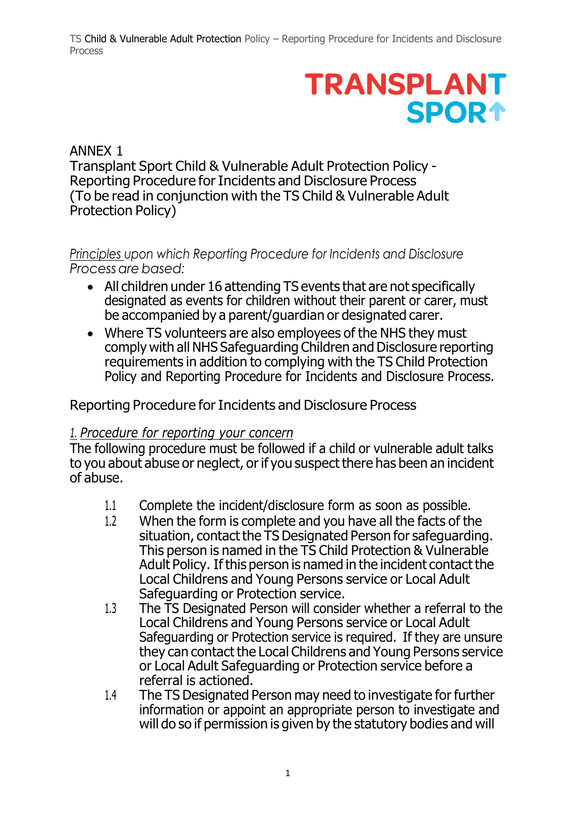TS Child & Vulnerable Adult Protection Policy – Reporting Procedure for Incidents and Disclosure Process

## **TRANSPLANT SPOR1**

ANNEX 1 Transplant Sport Child & Vulnerable Adult Protection Policy - Reporting Procedure for Incidents and Disclosure Process (To be read in conjunction with the TS Child & Vulnerable Adult Protection Policy)

*Principles upon which Reporting Procedure for Incidents and Disclosure Processare based:*

- All children under 16 attending TS events that are not specifically designated as events for children without their parent or carer, must be accompanied by a parent/guardian or designated carer.
- Where TS volunteers are also employees of the NHS they must comply with all NHS Safeguarding Children and Disclosure reporting requirements in addition to complying with the TS Child Protection Policy and Reporting Procedure for Incidents and Disclosure Process.

Reporting Procedure for Incidents and Disclosure Process

## *1. Procedure for reporting your concern*

The following procedure must be followed if a child or vulnerable adult talks to you about abuse or neglect, or if you suspect there has been an incident of abuse.

- 1.1 Complete the incident/disclosure form as soon as possible.
- 1.2 When the form is complete and you have all the facts of the situation, contact the TS Designated Person for safeguarding. This person is named in the TS Child Protection & Vulnerable Adult Policy. If this person is named in the incident contact the Local Childrens and Young Persons service or Local Adult Safeguarding or Protection service.
- 1.3 The TS Designated Person will consider whether a referral to the Local Childrens and Young Persons service or Local Adult Safeguarding or Protection service is required. If they are unsure they can contact the Local Childrens and Young Persons service or Local Adult Safeguarding or Protection service before a referral is actioned.
- 1.4 The TS Designated Person may need to investigate for further information or appoint an appropriate person to investigate and will do so if permission is given by the statutory bodies and will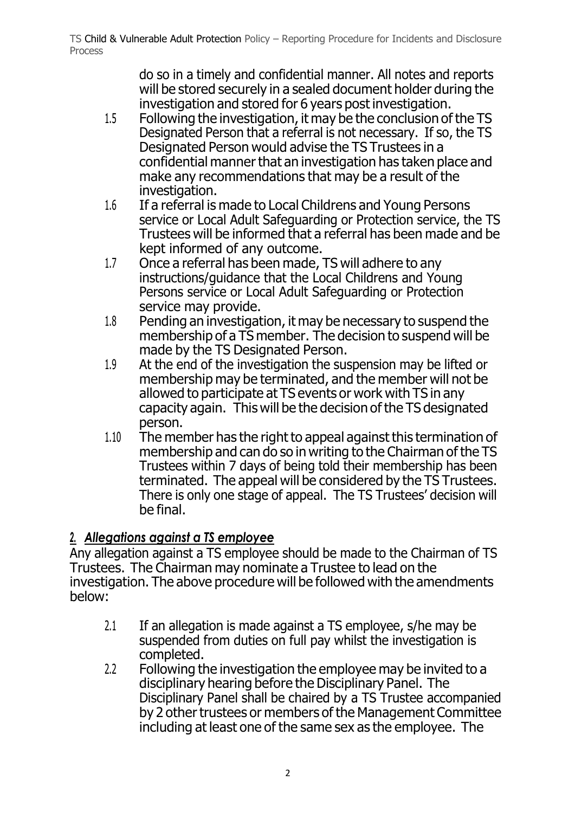do so in a timely and confidential manner. All notes and reports will be stored securely in a sealed document holder during the investigation and stored for 6 years post investigation.

- 1.5 Following the investigation, it may be the conclusion of the TS Designated Person that a referral is not necessary. If so, the TS Designated Person would advise the TS Trustees in a confidential manner that an investigation has taken place and make any recommendations that may be a result of the investigation.
- 1.6 If a referral is made to Local Childrens and Young Persons service or Local Adult Safeguarding or Protection service, the TS Trustees will be informed that a referral has been made and be kept informed of any outcome.
- 1.7 Once a referral has been made, TS will adhere to any instructions/guidance that the Local Childrens and Young Persons service or Local Adult Safeguarding or Protection service may provide.
- 1.8 Pending an investigation, it may be necessary to suspend the membership of a TS member. The decision to suspend will be made by the TS Designated Person.
- 1.9 At the end of the investigation the suspension may be lifted or membership may be terminated, and the member will not be allowed to participate at TS events or work with TS in any capacity again. This will be the decision of the TS designated person.
- 1.10 The member has the right to appeal against this termination of membership and can do so in writing to the Chairman of the TS Trustees within 7 days of being told their membership has been terminated. The appeal will be considered by the TS Trustees. There is only one stage of appeal. The TS Trustees' decision will be final.

## *2. Allegations against a TS employee*

Any allegation against a TS employee should be made to the Chairman of TS Trustees. The Chairman may nominate a Trustee to lead on the investigation. The above procedure will be followed with the amendments below:

- 2.1 If an allegation is made against a TS employee, s/he may be suspended from duties on full pay whilst the investigation is completed.
- 2.2 Following the investigation the employee may be invited to a disciplinary hearing before the Disciplinary Panel. The Disciplinary Panel shall be chaired by a TS Trustee accompanied by 2 other trustees or members of the Management Committee including at least one of the same sex as the employee. The